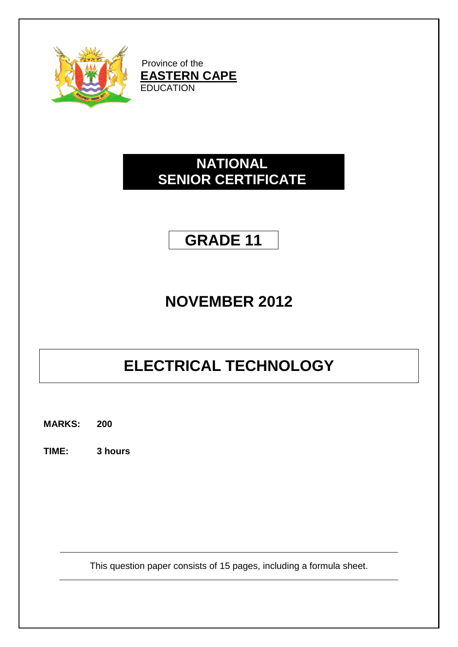

Province of the **EASTERN CAPE** EDUCATION

## **NATIONAL SENIOR CERTIFICATE**

## **GRADE 11**

## **NOVEMBER 2012**

# **ELECTRICAL TECHNOLOGY**

**MARKS: 200**

**TIME: 3 hours**

This question paper consists of 15 pages, including a formula sheet.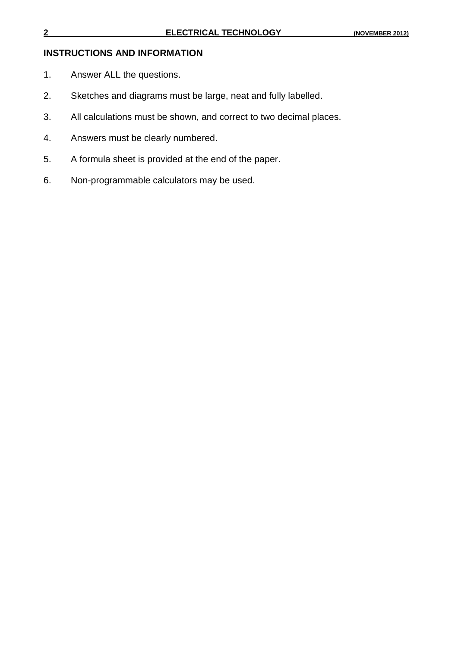#### **INSTRUCTIONS AND INFORMATION**

- 1. Answer ALL the questions.
- 2. Sketches and diagrams must be large, neat and fully labelled.
- 3. All calculations must be shown, and correct to two decimal places.
- 4. Answers must be clearly numbered.
- 5. A formula sheet is provided at the end of the paper.
- 6. Non-programmable calculators may be used.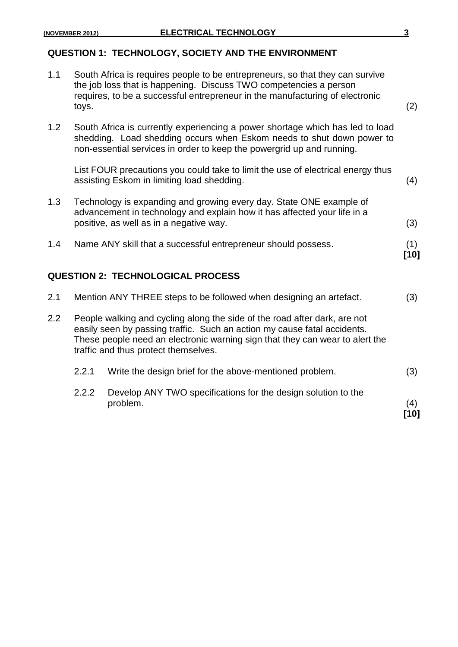## **QUESTION 1: TECHNOLOGY, SOCIETY AND THE ENVIRONMENT**

| 1.1 | toys. | South Africa is requires people to be entrepreneurs, so that they can survive<br>the job loss that is happening. Discuss TWO competencies a person<br>requires, to be a successful entrepreneur in the manufacturing of electronic                                            | (2)           |
|-----|-------|-------------------------------------------------------------------------------------------------------------------------------------------------------------------------------------------------------------------------------------------------------------------------------|---------------|
| 1.2 |       | South Africa is currently experiencing a power shortage which has led to load<br>shedding. Load shedding occurs when Eskom needs to shut down power to<br>non-essential services in order to keep the powergrid up and running.                                               |               |
|     |       | List FOUR precautions you could take to limit the use of electrical energy thus<br>assisting Eskom in limiting load shedding.                                                                                                                                                 | (4)           |
| 1.3 |       | Technology is expanding and growing every day. State ONE example of<br>advancement in technology and explain how it has affected your life in a<br>positive, as well as in a negative way.                                                                                    | (3)           |
| 1.4 |       | Name ANY skill that a successful entrepreneur should possess.                                                                                                                                                                                                                 | (1)<br>$[10]$ |
|     |       | <b>QUESTION 2: TECHNOLOGICAL PROCESS</b>                                                                                                                                                                                                                                      |               |
| 2.1 |       | Mention ANY THREE steps to be followed when designing an artefact.                                                                                                                                                                                                            | (3)           |
| 2.2 |       | People walking and cycling along the side of the road after dark, are not<br>easily seen by passing traffic. Such an action my cause fatal accidents.<br>These people need an electronic warning sign that they can wear to alert the<br>traffic and thus protect themselves. |               |
|     | 2.2.1 | Write the design brief for the above-mentioned problem.                                                                                                                                                                                                                       | (3)           |
|     | 2.2.2 | Develop ANY TWO specifications for the design solution to the                                                                                                                                                                                                                 |               |

problem. (4)

**[10]**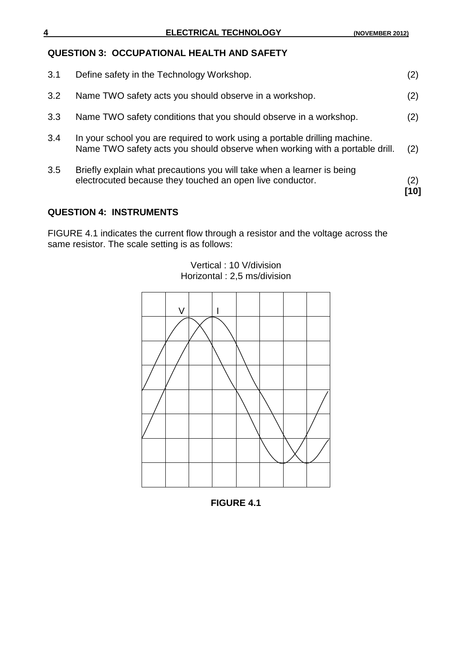### **QUESTION 3: OCCUPATIONAL HEALTH AND SAFETY**

|     |                                                                                                                                                           | ้101 |
|-----|-----------------------------------------------------------------------------------------------------------------------------------------------------------|------|
| 3.5 | Briefly explain what precautions you will take when a learner is being<br>electrocuted because they touched an open live conductor.                       | (2)  |
| 3.4 | In your school you are required to work using a portable drilling machine.<br>Name TWO safety acts you should observe when working with a portable drill. | (2)  |
| 3.3 | Name TWO safety conditions that you should observe in a workshop.                                                                                         | (2)  |
| 3.2 | Name TWO safety acts you should observe in a workshop.                                                                                                    | (2)  |
| 3.1 | Define safety in the Technology Workshop.                                                                                                                 |      |

#### **QUESTION 4: INSTRUMENTS**

FIGURE 4.1 indicates the current flow through a resistor and the voltage across the same resistor. The scale setting is as follows:



Vertical : 10 V/division Horizontal : 2,5 ms/division

**FIGURE 4.1**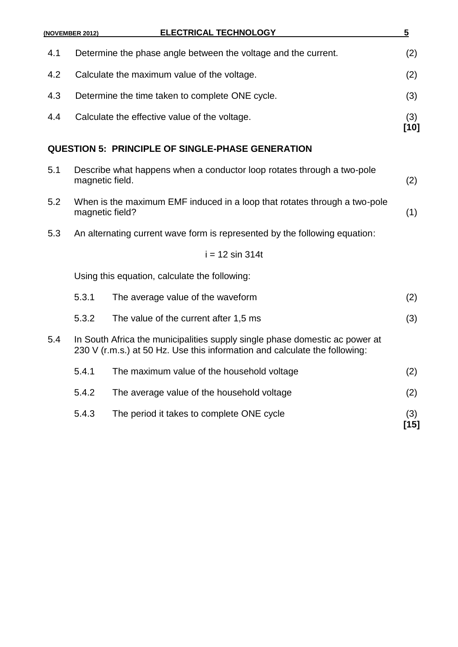|     | (NOVEMBER 2012)                                                            | <b>ELECTRICAL TECHNOLOGY</b>                                                                                                                              | 5             |
|-----|----------------------------------------------------------------------------|-----------------------------------------------------------------------------------------------------------------------------------------------------------|---------------|
| 4.1 |                                                                            | Determine the phase angle between the voltage and the current.                                                                                            | (2)           |
| 4.2 |                                                                            | Calculate the maximum value of the voltage.                                                                                                               | (2)           |
| 4.3 |                                                                            | Determine the time taken to complete ONE cycle.                                                                                                           | (3)           |
| 4.4 |                                                                            | Calculate the effective value of the voltage.                                                                                                             | (3)<br>$[10]$ |
|     |                                                                            | <b>QUESTION 5: PRINCIPLE OF SINGLE-PHASE GENERATION</b>                                                                                                   |               |
| 5.1 | magnetic field.                                                            | Describe what happens when a conductor loop rotates through a two-pole                                                                                    | (2)           |
| 5.2 | magnetic field?                                                            | When is the maximum EMF induced in a loop that rotates through a two-pole                                                                                 | (1)           |
| 5.3 | An alternating current wave form is represented by the following equation: |                                                                                                                                                           |               |
|     |                                                                            | $i = 12 \sin 314t$                                                                                                                                        |               |
|     |                                                                            | Using this equation, calculate the following:                                                                                                             |               |
|     | 5.3.1                                                                      | The average value of the waveform                                                                                                                         | (2)           |
|     | 5.3.2                                                                      | The value of the current after 1,5 ms                                                                                                                     | (3)           |
| 5.4 |                                                                            | In South Africa the municipalities supply single phase domestic ac power at<br>230 V (r.m.s.) at 50 Hz. Use this information and calculate the following: |               |
|     | 5.4.1                                                                      | The maximum value of the household voltage                                                                                                                | (2)           |
|     | 5.4.2                                                                      | The average value of the household voltage                                                                                                                | (2)           |
|     | 5.4.3                                                                      | The period it takes to complete ONE cycle                                                                                                                 | (3)<br>$[15]$ |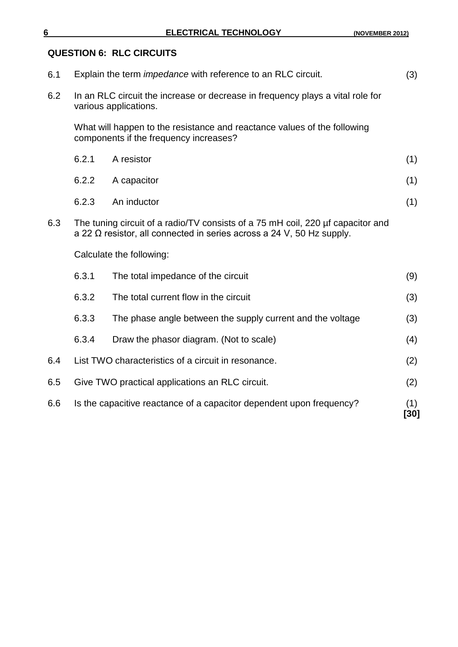## **QUESTION 6: RLC CIRCUITS**

| 6.1 | Explain the term <i>impedance</i> with reference to an RLC circuit.                                                                                             |                                                                      | (3)         |  |
|-----|-----------------------------------------------------------------------------------------------------------------------------------------------------------------|----------------------------------------------------------------------|-------------|--|
| 6.2 | In an RLC circuit the increase or decrease in frequency plays a vital role for<br>various applications.                                                         |                                                                      |             |  |
|     | What will happen to the resistance and reactance values of the following<br>components if the frequency increases?                                              |                                                                      |             |  |
|     | 6.2.1                                                                                                                                                           | A resistor                                                           | (1)         |  |
|     | 6.2.2                                                                                                                                                           | A capacitor                                                          | (1)         |  |
|     | 6.2.3                                                                                                                                                           | An inductor                                                          | (1)         |  |
| 6.3 | The tuning circuit of a radio/TV consists of a 75 mH coil, 220 µf capacitor and<br>a 22 $\Omega$ resistor, all connected in series across a 24 V, 50 Hz supply. |                                                                      |             |  |
|     | Calculate the following:                                                                                                                                        |                                                                      |             |  |
|     | 6.3.1                                                                                                                                                           | The total impedance of the circuit                                   | (9)         |  |
|     | 6.3.2                                                                                                                                                           | The total current flow in the circuit                                | (3)         |  |
|     | 6.3.3                                                                                                                                                           | The phase angle between the supply current and the voltage           | (3)         |  |
|     | 6.3.4                                                                                                                                                           | Draw the phasor diagram. (Not to scale)                              | (4)         |  |
| 6.4 |                                                                                                                                                                 | List TWO characteristics of a circuit in resonance.                  | (2)         |  |
| 6.5 |                                                                                                                                                                 | Give TWO practical applications an RLC circuit.                      | (2)         |  |
| 6.6 |                                                                                                                                                                 | Is the capacitive reactance of a capacitor dependent upon frequency? | (1)<br>[30] |  |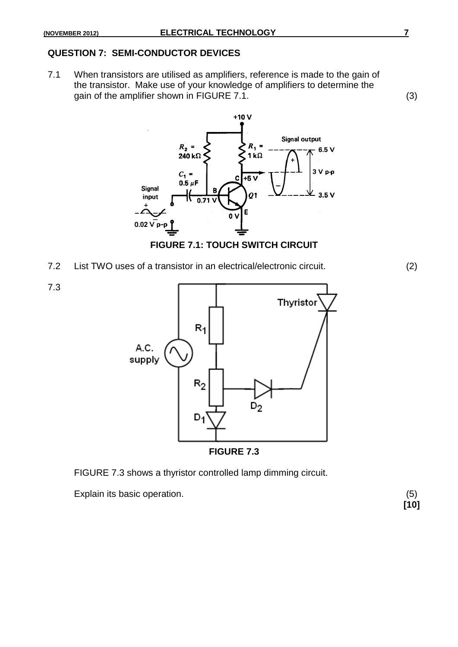7.3

#### **QUESTION 7: SEMI-CONDUCTOR DEVICES**

7.1 When transistors are utilised as amplifiers, reference is made to the gain of the transistor. Make use of your knowledge of amplifiers to determine the gain of the amplifier shown in FIGURE 7.1. (3)



**FIGURE 7.1: TOUCH SWITCH CIRCUIT**

7.2 List TWO uses of a transistor in an electrical/electronic circuit. (2)



FIGURE 7.3 shows a thyristor controlled lamp dimming circuit.

Explain its basic operation. (5)

**[10]**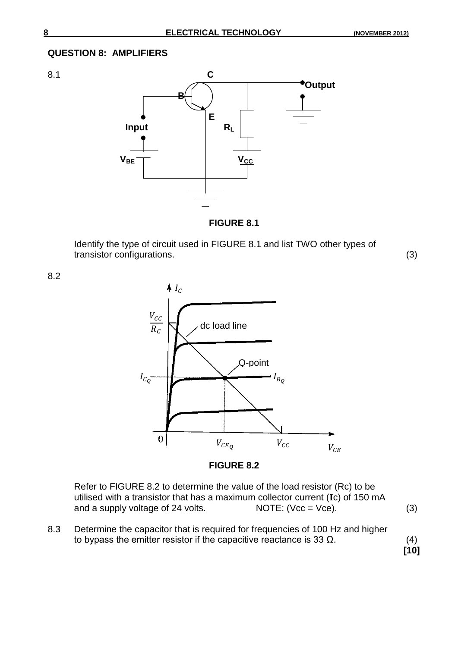#### **QUESTION 8: AMPLIFIERS**





**FIGURE 8.1**

Identify the type of circuit used in FIGURE 8.1 and list TWO other types of transistor configurations. (3)

8.2



**FIGURE 8.2**

Refer to FIGURE 8.2 to determine the value of the load resistor (Rc) to be utilised with a transistor that has a maximum collector current (**I**c) of 150 mA and a supply voltage of 24 volts.  $\blacksquare$  NOTE: (Vcc = Vce).  $\blacksquare$  (3)

8.3 Determine the capacitor that is required for frequencies of 100 Hz and higher to bypass the emitter resistor if the capacitive reactance is 33  $\Omega$ . (4)

**[10]**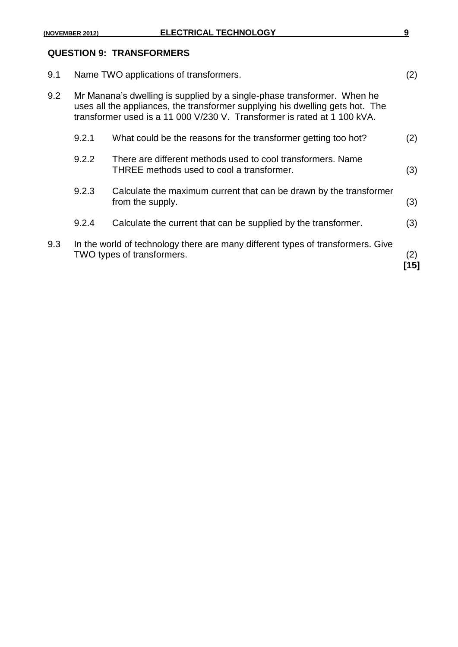## **QUESTION 9: TRANSFORMERS**

| 9.1 |                                                                                                                                                                                                                                      | Name TWO applications of transformers.                                                                        | (2)        |
|-----|--------------------------------------------------------------------------------------------------------------------------------------------------------------------------------------------------------------------------------------|---------------------------------------------------------------------------------------------------------------|------------|
| 9.2 | Mr Manana's dwelling is supplied by a single-phase transformer. When he<br>uses all the appliances, the transformer supplying his dwelling gets hot. The<br>transformer used is a 11 000 V/230 V. Transformer is rated at 1 100 kVA. |                                                                                                               |            |
|     | 9.2.1                                                                                                                                                                                                                                | What could be the reasons for the transformer getting too hot?                                                | (2)        |
|     | 9.2.2                                                                                                                                                                                                                                | There are different methods used to cool transformers. Name<br>THREE methods used to cool a transformer.      | (3)        |
|     | 9.2.3                                                                                                                                                                                                                                | Calculate the maximum current that can be drawn by the transformer<br>from the supply.                        | (3)        |
|     | 9.2.4                                                                                                                                                                                                                                | Calculate the current that can be supplied by the transformer.                                                | (3)        |
| 9.3 |                                                                                                                                                                                                                                      | In the world of technology there are many different types of transformers. Give<br>TWO types of transformers. | (2)<br> 15 |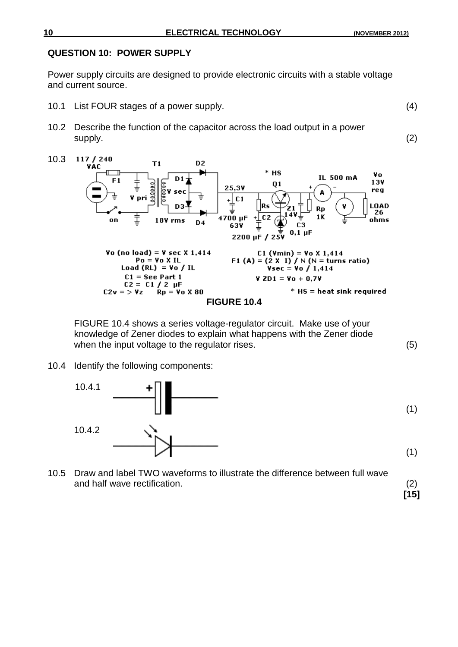#### **QUESTION 10: POWER SUPPLY**

Power supply circuits are designed to provide electronic circuits with a stable voltage and current source.

- 10.1 List FOUR stages of a power supply. (4)
- 10.2 Describe the function of the capacitor across the load output in a power supply. (2)



FIGURE 10.4 shows a series voltage-regulator circuit. Make use of your knowledge of Zener diodes to explain what happens with the Zener diode when the input voltage to the regulator rises. (5)

10.4 Identify the following components:



10.5 Draw and label TWO waveforms to illustrate the difference between full wave and half wave rectification. (2)

**[15]**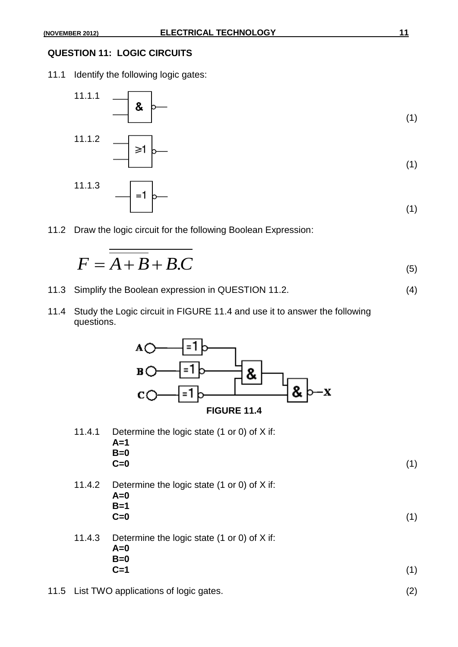#### **QUESTION 11: LOGIC CIRCUITS**

11.1 Identify the following logic gates:



11.2 Draw the logic circuit for the following Boolean Expression:

$$
F = \overline{A+B} + B.C \tag{5}
$$

- 11.3 Simplify the Boolean expression in QUESTION 11.2. (4)
- 11.4 Study the Logic circuit in FIGURE 11.4 and use it to answer the following questions.



11.4.1 Determine the logic state (1 or 0) of X if: **A=1 B=0 C=0** (1)

- 11.4.2 Determine the logic state (1 or 0) of X if: **A=0 B=1 C=0** (1)
- 11.4.3 Determine the logic state (1 or 0) of X if: **A=0 B=0 C=1** (1)
- 11.5 List TWO applications of logic gates. (2)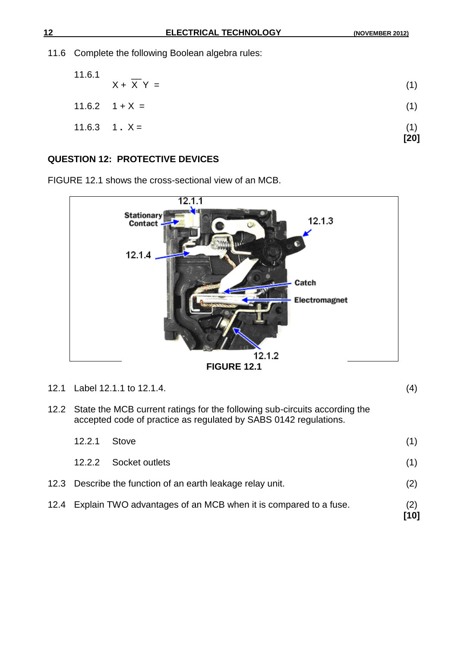11.6 Complete the following Boolean algebra rules:

|        | $11.6.3 \quad 1. X =$ | (1)<br>[20] |
|--------|-----------------------|-------------|
|        | $11.6.2$ $1 + X =$    | (1)         |
| 11.6.1 | $X + X Y =$           | (1)         |

### **QUESTION 12: PROTECTIVE DEVICES**

FIGURE 12.1 shows the cross-sectional view of an MCB.



**FIGURE 12.1**

|      |        | 12.1 Label 12.1.1 to 12.1.4.                                                                                                                        | (4)         |
|------|--------|-----------------------------------------------------------------------------------------------------------------------------------------------------|-------------|
|      |        | 12.2 State the MCB current ratings for the following sub-circuits according the<br>accepted code of practice as regulated by SABS 0142 regulations. |             |
|      | 12.2.1 | Stove                                                                                                                                               | (1)         |
|      | 12.2.2 | Socket outlets                                                                                                                                      | (1)         |
| 12.3 |        | Describe the function of an earth leakage relay unit.                                                                                               | (2)         |
| 12.4 |        | Explain TWO advantages of an MCB when it is compared to a fuse.                                                                                     | (2)<br>[10] |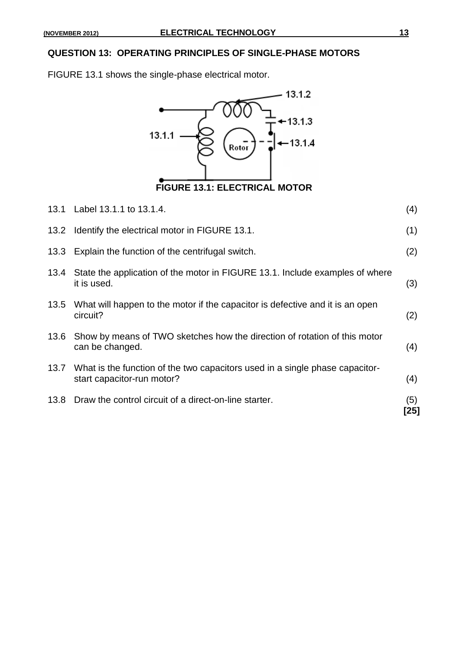## **QUESTION 13: OPERATING PRINCIPLES OF SINGLE-PHASE MOTORS**

FIGURE 13.1 shows the single-phase electrical motor.



**FIGURE 13.1: ELECTRICAL MOTOR**

|      | 13.1 Label 13.1.1 to 13.1.4.                                                                               | (4)         |
|------|------------------------------------------------------------------------------------------------------------|-------------|
| 13.2 | Identify the electrical motor in FIGURE 13.1.                                                              | (1)         |
| 13.3 | Explain the function of the centrifugal switch.                                                            | (2)         |
| 13.4 | State the application of the motor in FIGURE 13.1. Include examples of where<br>it is used.                | (3)         |
|      | 13.5 What will happen to the motor if the capacitor is defective and it is an open<br>circuit?             | (2)         |
| 13.6 | Show by means of TWO sketches how the direction of rotation of this motor<br>can be changed.               | (4)         |
| 13.7 | What is the function of the two capacitors used in a single phase capacitor-<br>start capacitor-run motor? | (4)         |
| 13.8 | Draw the control circuit of a direct-on-line starter.                                                      | (5)<br>'25] |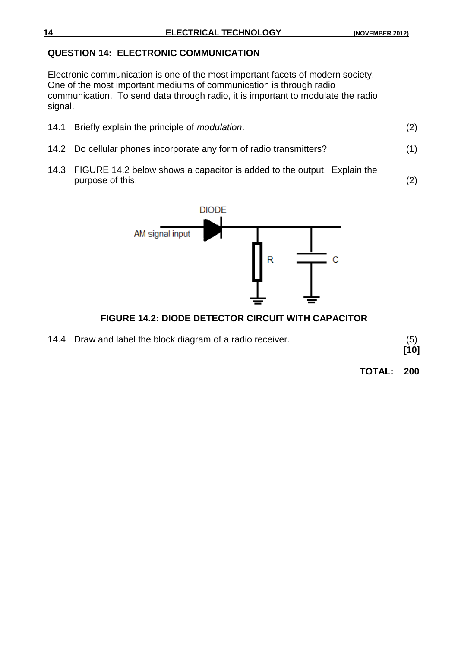### **QUESTION 14: ELECTRONIC COMMUNICATION**

Electronic communication is one of the most important facets of modern society. One of the most important mediums of communication is through radio communication. To send data through radio, it is important to modulate the radio signal.

- 14.1 Briefly explain the principle of *modulation*. (2)
- 14.2 Do cellular phones incorporate any form of radio transmitters? (1)
- 14.3 FIGURE 14.2 below shows a capacitor is added to the output. Explain the purpose of this. (2)



## **FIGURE 14.2: DIODE DETECTOR CIRCUIT WITH CAPACITOR**

14.4 Draw and label the block diagram of a radio receiver. (5)

**[10]**

**TOTAL: 200**